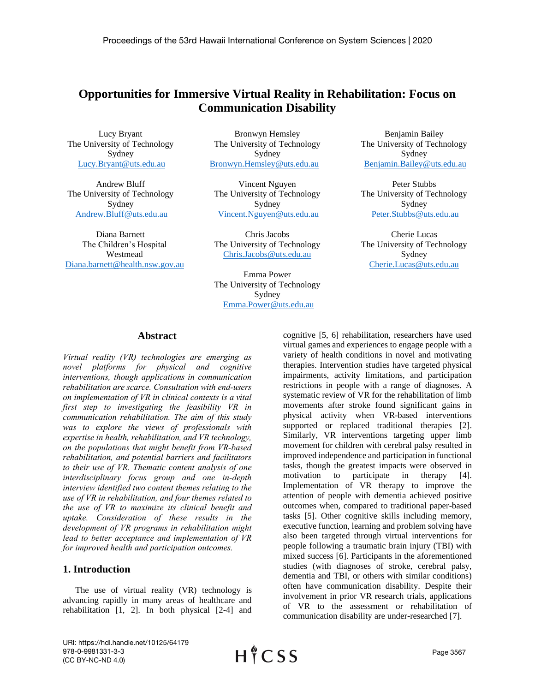# **Opportunities for Immersive Virtual Reality in Rehabilitation: Focus on Communication Disability**

Lucy Bryant The University of Technology Sydney [Lucy.Bryant@uts.edu.au](mailto:Lucy.Bryant@uts.edu.au) 

Andrew Bluff The University of Technology Sydney [Andrew.Bluff@uts.edu.au](mailto:Andrew.Bluff@uts.edu.au)

Diana Barnett The Children's Hospital Westmead [Diana.barnett@health.nsw.gov.au](mailto:Diana.barnett@health.nsw.gov.au)

Bronwyn Hemsley The University of Technology Sydney [Bronwyn.Hemsley@uts.edu.au](mailto:Bronwyn.Hemsley@uts.edu.au)

Vincent Nguyen The University of Technology Sydney [Vincent.Nguyen@uts.edu.au](mailto:Vincent.Nguyen@uts.edu.au)

Chris Jacobs The University of Technology [Chris.Jacobs@uts.edu.au](mailto:Chris.Jacobs@uts.edu.au)

Emma Power The University of Technology Sydney [Emma.Power@uts.edu.au](mailto:Emma.Power@uts.edu.au)

Benjamin Bailey The University of Technology Sydney [Benjamin.Bailey@uts.edu.au](mailto:Benjamin.Bailey@uts.edu.au)

Peter Stubbs The University of Technology Sydney [Peter.Stubbs@uts.edu.au](mailto:Peter.Stubbs@uts.edu.au)

Cherie Lucas The University of Technology Sydney [Cherie.Lucas@uts.edu.au](mailto:Cherie.Lucas@uts.edu.au)

## **Abstract**

*Virtual reality (VR) technologies are emerging as novel platforms for physical and cognitive interventions, though applications in communication rehabilitation are scarce. Consultation with end-users on implementation of VR in clinical contexts is a vital first step to investigating the feasibility VR in communication rehabilitation. The aim of this study was to explore the views of professionals with expertise in health, rehabilitation, and VR technology, on the populations that might benefit from VR-based rehabilitation, and potential barriers and facilitators to their use of VR. Thematic content analysis of one interdisciplinary focus group and one in-depth interview identified two content themes relating to the use of VR in rehabilitation, and four themes related to the use of VR to maximize its clinical benefit and uptake. Consideration of these results in the development of VR programs in rehabilitation might lead to better acceptance and implementation of VR for improved health and participation outcomes.*

## **1. Introduction**

The use of virtual reality (VR) technology is advancing rapidly in many areas of healthcare and rehabilitation [1, 2]. In both physical [2-4] and cognitive [5, 6] rehabilitation, researchers have used virtual games and experiences to engage people with a variety of health conditions in novel and motivating therapies. Intervention studies have targeted physical impairments, activity limitations, and participation restrictions in people with a range of diagnoses. A systematic review of VR for the rehabilitation of limb movements after stroke found significant gains in physical activity when VR-based interventions supported or replaced traditional therapies [2]. Similarly, VR interventions targeting upper limb movement for children with cerebral palsy resulted in improved independence and participation in functional tasks, though the greatest impacts were observed in motivation to participate in therapy [4]. Implementation of VR therapy to improve the attention of people with dementia achieved positive outcomes when, compared to traditional paper-based tasks [5]. Other cognitive skills including memory, executive function, learning and problem solving have also been targeted through virtual interventions for people following a traumatic brain injury (TBI) with mixed success [6]. Participants in the aforementioned studies (with diagnoses of stroke, cerebral palsy, dementia and TBI, or others with similar conditions) often have communication disability. Despite their involvement in prior VR research trials, applications of VR to the assessment or rehabilitation of communication disability are under-researched [7].

URI: https://hdl.handle.net/10125/64179 978-0-9981331-3-3 (CC BY-NC-ND 4.0)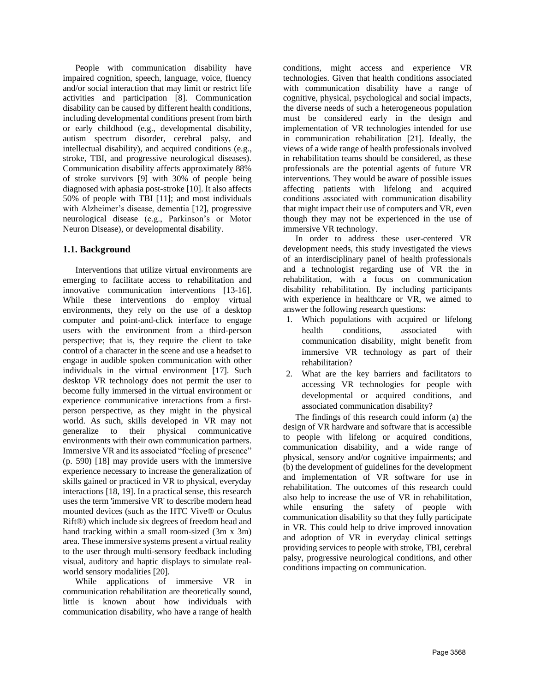People with communication disability have impaired cognition, speech, language, voice, fluency and/or social interaction that may limit or restrict life activities and participation [8]. Communication disability can be caused by different health conditions, including developmental conditions present from birth or early childhood (e.g., developmental disability, autism spectrum disorder, cerebral palsy, and intellectual disability), and acquired conditions (e.g., stroke, TBI, and progressive neurological diseases). Communication disability affects approximately 88% of stroke survivors [9] with 30% of people being diagnosed with aphasia post-stroke [10]. It also affects 50% of people with TBI [11]; and most individuals with Alzheimer's disease, dementia [12], progressive neurological disease (e.g., Parkinson's or Motor Neuron Disease), or developmental disability.

# **1.1. Background**

Interventions that utilize virtual environments are emerging to facilitate access to rehabilitation and innovative communication interventions [13-16]. While these interventions do employ virtual environments, they rely on the use of a desktop computer and point-and-click interface to engage users with the environment from a third-person perspective; that is, they require the client to take control of a character in the scene and use a headset to engage in audible spoken communication with other individuals in the virtual environment [17]. Such desktop VR technology does not permit the user to become fully immersed in the virtual environment or experience communicative interactions from a firstperson perspective, as they might in the physical world. As such, skills developed in VR may not generalize to their physical communicative environments with their own communication partners. Immersive VR and its associated "feeling of presence" (p. 590) [18] may provide users with the immersive experience necessary to increase the generalization of skills gained or practiced in VR to physical, everyday interactions [18, 19]. In a practical sense, this research uses the term 'immersive VR' to describe modern head mounted devices (such as the HTC Vive® or Oculus Rift®) which include six degrees of freedom head and hand tracking within a small room-sized (3m x 3m) area. These immersive systems present a virtual reality to the user through multi-sensory feedback including visual, auditory and haptic displays to simulate realworld sensory modalities [20].

While applications of immersive VR in communication rehabilitation are theoretically sound, little is known about how individuals with communication disability, who have a range of health conditions, might access and experience VR technologies. Given that health conditions associated with communication disability have a range of cognitive, physical, psychological and social impacts, the diverse needs of such a heterogeneous population must be considered early in the design and implementation of VR technologies intended for use in communication rehabilitation [21]. Ideally, the views of a wide range of health professionals involved in rehabilitation teams should be considered, as these professionals are the potential agents of future VR interventions. They would be aware of possible issues affecting patients with lifelong and acquired conditions associated with communication disability that might impact their use of computers and VR, even though they may not be experienced in the use of immersive VR technology.

In order to address these user-centered VR development needs, this study investigated the views of an interdisciplinary panel of health professionals and a technologist regarding use of VR the in rehabilitation, with a focus on communication disability rehabilitation. By including participants with experience in healthcare or VR, we aimed to answer the following research questions:

- 1. Which populations with acquired or lifelong health conditions, associated with communication disability, might benefit from immersive VR technology as part of their rehabilitation?
- 2. What are the key barriers and facilitators to accessing VR technologies for people with developmental or acquired conditions, and associated communication disability?

The findings of this research could inform (a) the design of VR hardware and software that is accessible to people with lifelong or acquired conditions, communication disability, and a wide range of physical, sensory and/or cognitive impairments; and (b) the development of guidelines for the development and implementation of VR software for use in rehabilitation. The outcomes of this research could also help to increase the use of VR in rehabilitation, while ensuring the safety of people with communication disability so that they fully participate in VR. This could help to drive improved innovation and adoption of VR in everyday clinical settings providing services to people with stroke, TBI, cerebral palsy, progressive neurological conditions, and other conditions impacting on communication.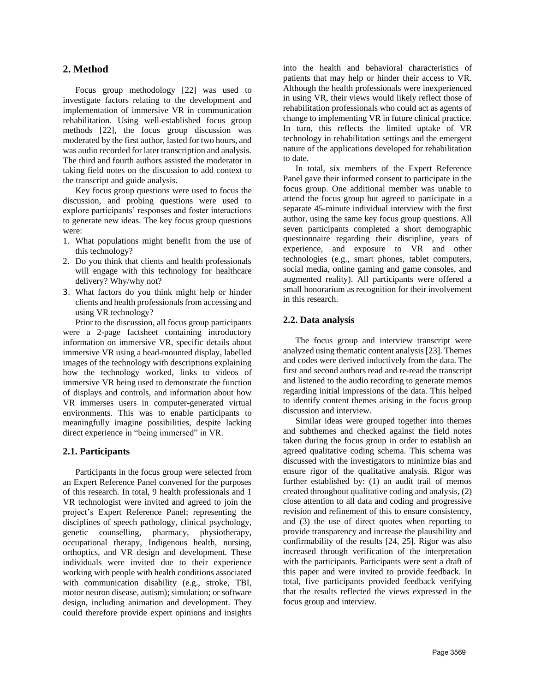## **2. Method**

Focus group methodology [22] was used to investigate factors relating to the development and implementation of immersive VR in communication rehabilitation. Using well-established focus group methods [22], the focus group discussion was moderated by the first author, lasted for two hours, and was audio recorded for later transcription and analysis. The third and fourth authors assisted the moderator in taking field notes on the discussion to add context to the transcript and guide analysis.

Key focus group questions were used to focus the discussion, and probing questions were used to explore participants' responses and foster interactions to generate new ideas. The key focus group questions were:

- 1. What populations might benefit from the use of this technology?
- 2. Do you think that clients and health professionals will engage with this technology for healthcare delivery? Why/why not?
- 3. What factors do you think might help or hinder clients and health professionals from accessing and using VR technology?

Prior to the discussion, all focus group participants were a 2-page factsheet containing introductory information on immersive VR, specific details about immersive VR using a head-mounted display, labelled images of the technology with descriptions explaining how the technology worked, links to videos of immersive VR being used to demonstrate the function of displays and controls, and information about how VR immerses users in computer-generated virtual environments. This was to enable participants to meaningfully imagine possibilities, despite lacking direct experience in "being immersed" in VR.

## **2.1. Participants**

Participants in the focus group were selected from an Expert Reference Panel convened for the purposes of this research. In total, 9 health professionals and 1 VR technologist were invited and agreed to join the project's Expert Reference Panel; representing the disciplines of speech pathology, clinical psychology, genetic counselling, pharmacy, physiotherapy, occupational therapy, Indigenous health, nursing, orthoptics, and VR design and development. These individuals were invited due to their experience working with people with health conditions associated with communication disability (e.g., stroke, TBI, motor neuron disease, autism); simulation; or software design, including animation and development. They could therefore provide expert opinions and insights into the health and behavioral characteristics of patients that may help or hinder their access to VR. Although the health professionals were inexperienced in using VR, their views would likely reflect those of rehabilitation professionals who could act as agents of change to implementing VR in future clinical practice. In turn, this reflects the limited uptake of VR technology in rehabilitation settings and the emergent nature of the applications developed for rehabilitation to date.

In total, six members of the Expert Reference Panel gave their informed consent to participate in the focus group. One additional member was unable to attend the focus group but agreed to participate in a separate 45-minute individual interview with the first author, using the same key focus group questions. All seven participants completed a short demographic questionnaire regarding their discipline, years of experience, and exposure to VR and other technologies (e.g., smart phones, tablet computers, social media, online gaming and game consoles, and augmented reality). All participants were offered a small honorarium as recognition for their involvement in this research.

#### **2.2. Data analysis**

The focus group and interview transcript were analyzed using thematic content analysis[23]. Themes and codes were derived inductively from the data. The first and second authors read and re-read the transcript and listened to the audio recording to generate memos regarding initial impressions of the data. This helped to identify content themes arising in the focus group discussion and interview.

Similar ideas were grouped together into themes and subthemes and checked against the field notes taken during the focus group in order to establish an agreed qualitative coding schema. This schema was discussed with the investigators to minimize bias and ensure rigor of the qualitative analysis. Rigor was further established by: (1) an audit trail of memos created throughout qualitative coding and analysis, (2) close attention to all data and coding and progressive revision and refinement of this to ensure consistency, and (3) the use of direct quotes when reporting to provide transparency and increase the plausibility and confirmability of the results [24, 25]. Rigor was also increased through verification of the interpretation with the participants. Participants were sent a draft of this paper and were invited to provide feedback. In total, five participants provided feedback verifying that the results reflected the views expressed in the focus group and interview.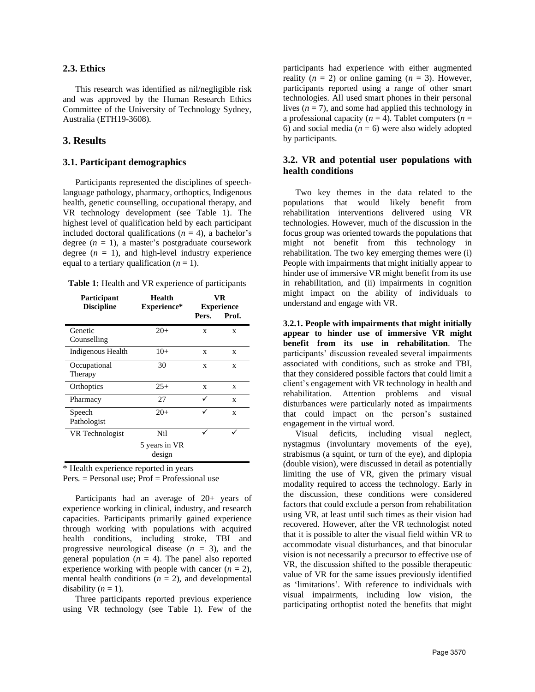#### **2.3. Ethics**

This research was identified as nil/negligible risk and was approved by the Human Research Ethics Committee of the University of Technology Sydney, Australia (ETH19-3608).

#### **3. Results**

## **3.1. Participant demographics**

Participants represented the disciplines of speechlanguage pathology, pharmacy, orthoptics, Indigenous health, genetic counselling, occupational therapy, and VR technology development (see Table 1). The highest level of qualification held by each participant included doctoral qualifications ( $n = 4$ ), a bachelor's degree  $(n = 1)$ , a master's postgraduate coursework degree  $(n = 1)$ , and high-level industry experience equal to a tertiary qualification  $(n = 1)$ .

| Table 1: Health and VR experience of participants |  |  |  |  |  |  |
|---------------------------------------------------|--|--|--|--|--|--|
|---------------------------------------------------|--|--|--|--|--|--|

| Participant<br><b>Discipline</b> | <b>Health</b><br>Experience*   | VR<br><b>Experience</b> |       |  |
|----------------------------------|--------------------------------|-------------------------|-------|--|
|                                  |                                | Pers.                   | Prof. |  |
| Genetic<br>Counselling           | $20+$                          | X                       | X     |  |
| Indigenous Health                | $10+$                          | X                       | X     |  |
| Occupational<br>Therapy          | 30                             | X                       | X     |  |
| Orthoptics                       | $25+$                          | X                       | X     |  |
| Pharmacy                         | 27                             |                         | X     |  |
| Speech<br>Pathologist            | $20+$                          |                         | X     |  |
| VR Technologist                  | Nil<br>5 years in VR<br>design |                         |       |  |

\* Health experience reported in years Pers.  $=$  Personal use: Prof  $=$  Professional use

Participants had an average of 20+ years of experience working in clinical, industry, and research capacities. Participants primarily gained experience through working with populations with acquired health conditions, including stroke, TBI and progressive neurological disease  $(n = 3)$ , and the general population  $(n = 4)$ . The panel also reported experience working with people with cancer  $(n = 2)$ , mental health conditions  $(n = 2)$ , and developmental disability  $(n = 1)$ .

Three participants reported previous experience using VR technology (see Table 1). Few of the

participants had experience with either augmented reality  $(n = 2)$  or online gaming  $(n = 3)$ . However, participants reported using a range of other smart technologies. All used smart phones in their personal lives  $(n = 7)$ , and some had applied this technology in a professional capacity ( $n = 4$ ). Tablet computers ( $n = 4$ ) 6) and social media  $(n = 6)$  were also widely adopted by participants.

## **3.2. VR and potential user populations with health conditions**

Two key themes in the data related to the populations that would likely benefit from rehabilitation interventions delivered using VR technologies. However, much of the discussion in the focus group was oriented towards the populations that might not benefit from this technology in rehabilitation. The two key emerging themes were (i) People with impairments that might initially appear to hinder use of immersive VR might benefit from its use in rehabilitation, and (ii) impairments in cognition might impact on the ability of individuals to understand and engage with VR.

**3.2.1. People with impairments that might initially appear to hinder use of immersive VR might benefit from its use in rehabilitation**. The participants' discussion revealed several impairments associated with conditions, such as stroke and TBI, that they considered possible factors that could limit a client's engagement with VR technology in health and rehabilitation. Attention problems and visual disturbances were particularly noted as impairments that could impact on the person's sustained engagement in the virtual word.

Visual deficits, including visual neglect, nystagmus (involuntary movements of the eye), strabismus (a squint, or turn of the eye), and diplopia (double vision), were discussed in detail as potentially limiting the use of VR, given the primary visual modality required to access the technology. Early in the discussion, these conditions were considered factors that could exclude a person from rehabilitation using VR, at least until such times as their vision had recovered. However, after the VR technologist noted that it is possible to alter the visual field within VR to accommodate visual disturbances, and that binocular vision is not necessarily a precursor to effective use of VR, the discussion shifted to the possible therapeutic value of VR for the same issues previously identified as 'limitations'. With reference to individuals with visual impairments, including low vision, the participating orthoptist noted the benefits that might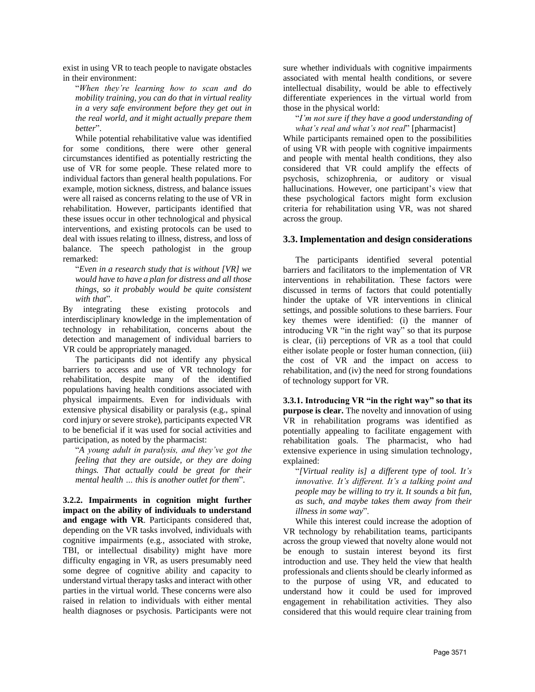exist in using VR to teach people to navigate obstacles in their environment:

"*When they're learning how to scan and do mobility training, you can do that in virtual reality in a very safe environment before they get out in the real world, and it might actually prepare them better*".

While potential rehabilitative value was identified for some conditions, there were other general circumstances identified as potentially restricting the use of VR for some people. These related more to individual factors than general health populations. For example, motion sickness, distress, and balance issues were all raised as concerns relating to the use of VR in rehabilitation. However, participants identified that these issues occur in other technological and physical interventions, and existing protocols can be used to deal with issues relating to illness, distress, and loss of balance. The speech pathologist in the group remarked:

"*Even in a research study that is without [VR] we would have to have a plan for distress and all those things, so it probably would be quite consistent with that*".

By integrating these existing protocols and interdisciplinary knowledge in the implementation of technology in rehabilitation, concerns about the detection and management of individual barriers to VR could be appropriately managed.

The participants did not identify any physical barriers to access and use of VR technology for rehabilitation, despite many of the identified populations having health conditions associated with physical impairments. Even for individuals with extensive physical disability or paralysis (e.g., spinal cord injury or severe stroke), participants expected VR to be beneficial if it was used for social activities and participation, as noted by the pharmacist:

"*A young adult in paralysis, and they've got the feeling that they are outside, or they are doing things. That actually could be great for their mental health … this is another outlet for them*".

**3.2.2. Impairments in cognition might further impact on the ability of individuals to understand and engage with VR**. Participants considered that, depending on the VR tasks involved, individuals with cognitive impairments (e.g., associated with stroke, TBI, or intellectual disability) might have more difficulty engaging in VR, as users presumably need some degree of cognitive ability and capacity to understand virtual therapy tasks and interact with other parties in the virtual world. These concerns were also raised in relation to individuals with either mental health diagnoses or psychosis. Participants were not sure whether individuals with cognitive impairments associated with mental health conditions, or severe intellectual disability, would be able to effectively differentiate experiences in the virtual world from those in the physical world:

"*I'm not sure if they have a good understanding of what's real and what's not real*" [pharmacist]

While participants remained open to the possibilities of using VR with people with cognitive impairments and people with mental health conditions, they also considered that VR could amplify the effects of psychosis, schizophrenia, or auditory or visual hallucinations. However, one participant's view that these psychological factors might form exclusion criteria for rehabilitation using VR, was not shared across the group.

## **3.3. Implementation and design considerations**

The participants identified several potential barriers and facilitators to the implementation of VR interventions in rehabilitation. These factors were discussed in terms of factors that could potentially hinder the uptake of VR interventions in clinical settings, and possible solutions to these barriers. Four key themes were identified: (i) the manner of introducing VR "in the right way" so that its purpose is clear, (ii) perceptions of VR as a tool that could either isolate people or foster human connection, (iii) the cost of VR and the impact on access to rehabilitation, and (iv) the need for strong foundations of technology support for VR.

**3.3.1. Introducing VR "in the right way" so that its purpose is clear.** The novelty and innovation of using VR in rehabilitation programs was identified as potentially appealing to facilitate engagement with rehabilitation goals. The pharmacist, who had extensive experience in using simulation technology, explained:

"*[Virtual reality is] a different type of tool. It's innovative. It's different. It's a talking point and people may be willing to try it. It sounds a bit fun, as such, and maybe takes them away from their illness in some way*".

While this interest could increase the adoption of VR technology by rehabilitation teams, participants across the group viewed that novelty alone would not be enough to sustain interest beyond its first introduction and use. They held the view that health professionals and clients should be clearly informed as to the purpose of using VR, and educated to understand how it could be used for improved engagement in rehabilitation activities. They also considered that this would require clear training from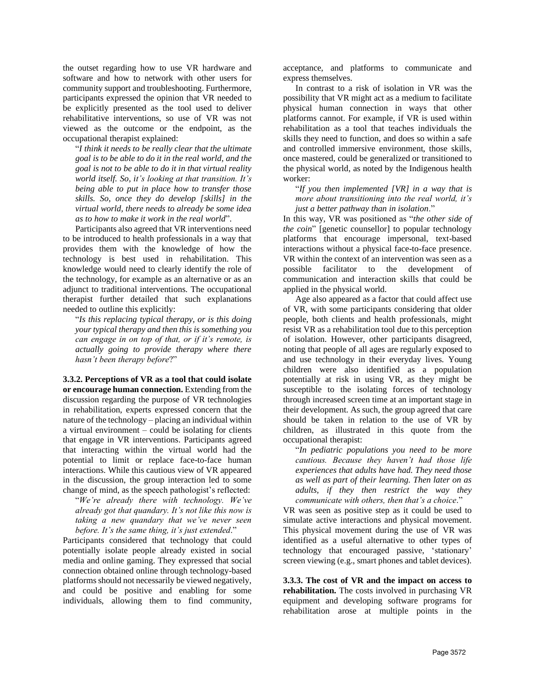the outset regarding how to use VR hardware and software and how to network with other users for community support and troubleshooting. Furthermore, participants expressed the opinion that VR needed to be explicitly presented as the tool used to deliver rehabilitative interventions, so use of VR was not viewed as the outcome or the endpoint, as the occupational therapist explained:

"*I think it needs to be really clear that the ultimate goal is to be able to do it in the real world, and the goal is not to be able to do it in that virtual reality world itself. So, it's looking at that transition. It's being able to put in place how to transfer those skills. So, once they do develop [skills] in the virtual world, there needs to already be some idea as to how to make it work in the real world*".

Participants also agreed that VR interventions need to be introduced to health professionals in a way that provides them with the knowledge of how the technology is best used in rehabilitation. This knowledge would need to clearly identify the role of the technology, for example as an alternative or as an adjunct to traditional interventions. The occupational therapist further detailed that such explanations needed to outline this explicitly:

"*Is this replacing typical therapy, or is this doing your typical therapy and then this is something you can engage in on top of that, or if it's remote, is actually going to provide therapy where there hasn't been therapy before*?"

**3.3.2. Perceptions of VR as a tool that could isolate or encourage human connection.** Extending from the discussion regarding the purpose of VR technologies in rehabilitation, experts expressed concern that the nature of the technology – placing an individual within a virtual environment – could be isolating for clients that engage in VR interventions. Participants agreed that interacting within the virtual world had the potential to limit or replace face-to-face human interactions. While this cautious view of VR appeared in the discussion, the group interaction led to some change of mind, as the speech pathologist's reflected:

"*We're already there with technology. We've already got that quandary. It's not like this now is taking a new quandary that we've never seen before. It's the same thing, it's just extended*."

Participants considered that technology that could potentially isolate people already existed in social media and online gaming. They expressed that social connection obtained online through technology-based platforms should not necessarily be viewed negatively, and could be positive and enabling for some individuals, allowing them to find community, acceptance, and platforms to communicate and express themselves.

In contrast to a risk of isolation in VR was the possibility that VR might act as a medium to facilitate physical human connection in ways that other platforms cannot. For example, if VR is used within rehabilitation as a tool that teaches individuals the skills they need to function, and does so within a safe and controlled immersive environment, those skills, once mastered, could be generalized or transitioned to the physical world, as noted by the Indigenous health worker:

"*If you then implemented [VR] in a way that is more about transitioning into the real world, it's just a better pathway than in isolation*."

In this way, VR was positioned as "*the other side of the coin*" [genetic counsellor] to popular technology platforms that encourage impersonal, text-based interactions without a physical face-to-face presence. VR within the context of an intervention was seen as a possible facilitator to the development of communication and interaction skills that could be applied in the physical world.

Age also appeared as a factor that could affect use of VR, with some participants considering that older people, both clients and health professionals, might resist VR as a rehabilitation tool due to this perception of isolation. However, other participants disagreed, noting that people of all ages are regularly exposed to and use technology in their everyday lives. Young children were also identified as a population potentially at risk in using VR, as they might be susceptible to the isolating forces of technology through increased screen time at an important stage in their development. As such, the group agreed that care should be taken in relation to the use of VR by children, as illustrated in this quote from the occupational therapist:

"*In pediatric populations you need to be more cautious. Because they haven't had those life experiences that adults have had. They need those as well as part of their learning. Then later on as adults, if they then restrict the way they communicate with others, then that's a choice*."

VR was seen as positive step as it could be used to simulate active interactions and physical movement. This physical movement during the use of VR was identified as a useful alternative to other types of technology that encouraged passive, 'stationary' screen viewing (e.g., smart phones and tablet devices).

**3.3.3. The cost of VR and the impact on access to rehabilitation.** The costs involved in purchasing VR equipment and developing software programs for rehabilitation arose at multiple points in the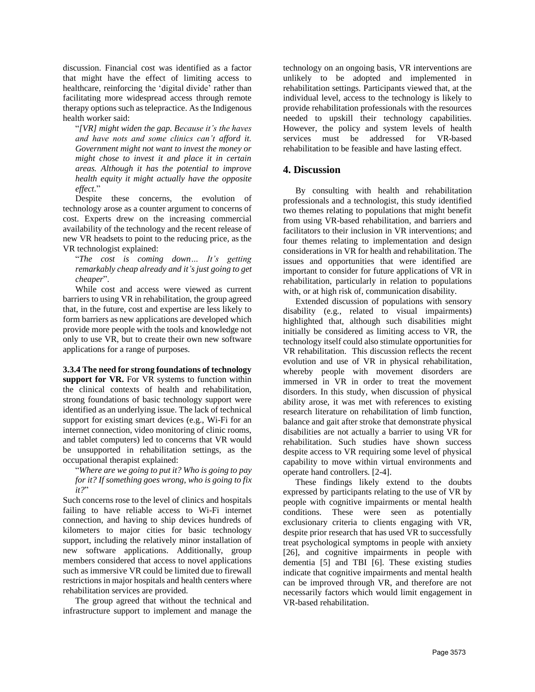discussion. Financial cost was identified as a factor that might have the effect of limiting access to healthcare, reinforcing the 'digital divide' rather than facilitating more widespread access through remote therapy options such as telepractice. As the Indigenous health worker said:

"*[VR] might widen the gap. Because it's the haves and have nots and some clinics can't afford it. Government might not want to invest the money or might chose to invest it and place it in certain areas. Although it has the potential to improve health equity it might actually have the opposite effect*."

Despite these concerns, the evolution of technology arose as a counter argument to concerns of cost. Experts drew on the increasing commercial availability of the technology and the recent release of new VR headsets to point to the reducing price, as the VR technologist explained:

"*The cost is coming down… It's getting remarkably cheap already and it's just going to get cheaper*".

While cost and access were viewed as current barriers to using VR in rehabilitation, the group agreed that, in the future, cost and expertise are less likely to form barriers as new applications are developed which provide more people with the tools and knowledge not only to use VR, but to create their own new software applications for a range of purposes.

**3.3.4 The need for strong foundations of technology support for VR.** For VR systems to function within the clinical contexts of health and rehabilitation, strong foundations of basic technology support were identified as an underlying issue. The lack of technical support for existing smart devices (e.g., Wi-Fi for an internet connection, video monitoring of clinic rooms, and tablet computers) led to concerns that VR would be unsupported in rehabilitation settings, as the occupational therapist explained:

"*Where are we going to put it? Who is going to pay for it? If something goes wrong, who is going to fix it?*"

Such concerns rose to the level of clinics and hospitals failing to have reliable access to Wi-Fi internet connection, and having to ship devices hundreds of kilometers to major cities for basic technology support, including the relatively minor installation of new software applications. Additionally, group members considered that access to novel applications such as immersive VR could be limited due to firewall restrictions in major hospitals and health centers where rehabilitation services are provided.

The group agreed that without the technical and infrastructure support to implement and manage the technology on an ongoing basis, VR interventions are unlikely to be adopted and implemented in rehabilitation settings. Participants viewed that, at the individual level, access to the technology is likely to provide rehabilitation professionals with the resources needed to upskill their technology capabilities. However, the policy and system levels of health services must be addressed for VR-based rehabilitation to be feasible and have lasting effect.

## **4. Discussion**

By consulting with health and rehabilitation professionals and a technologist, this study identified two themes relating to populations that might benefit from using VR-based rehabilitation, and barriers and facilitators to their inclusion in VR interventions; and four themes relating to implementation and design considerations in VR for health and rehabilitation. The issues and opportunities that were identified are important to consider for future applications of VR in rehabilitation, particularly in relation to populations with, or at high risk of, communication disability.

Extended discussion of populations with sensory disability (e.g., related to visual impairments) highlighted that, although such disabilities might initially be considered as limiting access to VR, the technology itself could also stimulate opportunities for VR rehabilitation. This discussion reflects the recent evolution and use of VR in physical rehabilitation, whereby people with movement disorders are immersed in VR in order to treat the movement disorders. In this study, when discussion of physical ability arose, it was met with references to existing research literature on rehabilitation of limb function, balance and gait after stroke that demonstrate physical disabilities are not actually a barrier to using VR for rehabilitation. Such studies have shown success despite access to VR requiring some level of physical capability to move within virtual environments and operate hand controllers. [2-4].

These findings likely extend to the doubts expressed by participants relating to the use of VR by people with cognitive impairments or mental health conditions. These were seen as potentially exclusionary criteria to clients engaging with VR, despite prior research that has used VR to successfully treat psychological symptoms in people with anxiety [26], and cognitive impairments in people with dementia [5] and TBI [6]. These existing studies indicate that cognitive impairments and mental health can be improved through VR, and therefore are not necessarily factors which would limit engagement in VR-based rehabilitation.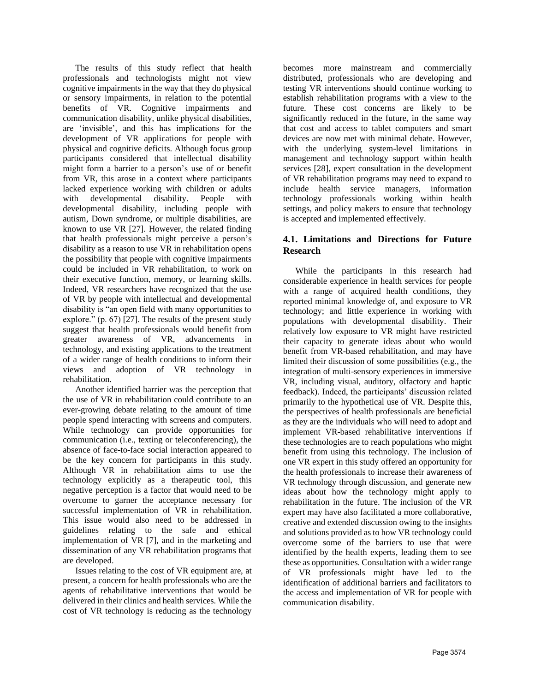The results of this study reflect that health professionals and technologists might not view cognitive impairments in the way that they do physical or sensory impairments, in relation to the potential benefits of VR. Cognitive impairments and communication disability, unlike physical disabilities, are 'invisible', and this has implications for the development of VR applications for people with physical and cognitive deficits. Although focus group participants considered that intellectual disability might form a barrier to a person's use of or benefit from VR, this arose in a context where participants lacked experience working with children or adults with developmental disability. People with developmental disability, including people with autism, Down syndrome, or multiple disabilities, are known to use VR [27]. However, the related finding that health professionals might perceive a person's disability as a reason to use VR in rehabilitation opens the possibility that people with cognitive impairments could be included in VR rehabilitation, to work on their executive function, memory, or learning skills. Indeed, VR researchers have recognized that the use of VR by people with intellectual and developmental disability is "an open field with many opportunities to explore." (p. 67) [27]. The results of the present study suggest that health professionals would benefit from greater awareness of VR, advancements in technology, and existing applications to the treatment of a wider range of health conditions to inform their views and adoption of VR technology in rehabilitation.

Another identified barrier was the perception that the use of VR in rehabilitation could contribute to an ever-growing debate relating to the amount of time people spend interacting with screens and computers. While technology can provide opportunities for communication (i.e., texting or teleconferencing), the absence of face-to-face social interaction appeared to be the key concern for participants in this study. Although VR in rehabilitation aims to use the technology explicitly as a therapeutic tool, this negative perception is a factor that would need to be overcome to garner the acceptance necessary for successful implementation of VR in rehabilitation. This issue would also need to be addressed in guidelines relating to the safe and ethical implementation of VR [7], and in the marketing and dissemination of any VR rehabilitation programs that are developed.

Issues relating to the cost of VR equipment are, at present, a concern for health professionals who are the agents of rehabilitative interventions that would be delivered in their clinics and health services. While the cost of VR technology is reducing as the technology

becomes more mainstream and commercially distributed, professionals who are developing and testing VR interventions should continue working to establish rehabilitation programs with a view to the future. These cost concerns are likely to be significantly reduced in the future, in the same way that cost and access to tablet computers and smart devices are now met with minimal debate. However, with the underlying system-level limitations in management and technology support within health services [28], expert consultation in the development of VR rehabilitation programs may need to expand to include health service managers, information technology professionals working within health settings, and policy makers to ensure that technology is accepted and implemented effectively.

# **4.1. Limitations and Directions for Future Research**

While the participants in this research had considerable experience in health services for people with a range of acquired health conditions, they reported minimal knowledge of, and exposure to VR technology; and little experience in working with populations with developmental disability. Their relatively low exposure to VR might have restricted their capacity to generate ideas about who would benefit from VR-based rehabilitation, and may have limited their discussion of some possibilities (e.g., the integration of multi-sensory experiences in immersive VR, including visual, auditory, olfactory and haptic feedback). Indeed, the participants' discussion related primarily to the hypothetical use of VR. Despite this, the perspectives of health professionals are beneficial as they are the individuals who will need to adopt and implement VR-based rehabilitative interventions if these technologies are to reach populations who might benefit from using this technology. The inclusion of one VR expert in this study offered an opportunity for the health professionals to increase their awareness of VR technology through discussion, and generate new ideas about how the technology might apply to rehabilitation in the future. The inclusion of the VR expert may have also facilitated a more collaborative, creative and extended discussion owing to the insights and solutions provided as to how VR technology could overcome some of the barriers to use that were identified by the health experts, leading them to see these as opportunities. Consultation with a wider range of VR professionals might have led to the identification of additional barriers and facilitators to the access and implementation of VR for people with communication disability.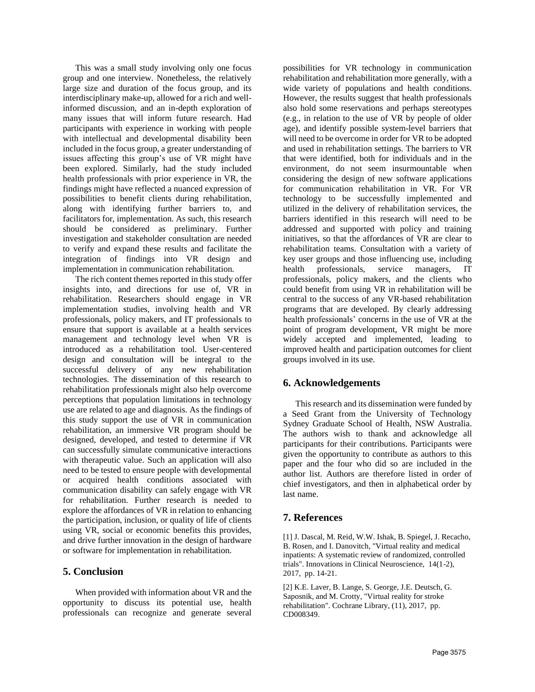This was a small study involving only one focus group and one interview. Nonetheless, the relatively large size and duration of the focus group, and its interdisciplinary make-up, allowed for a rich and wellinformed discussion, and an in-depth exploration of many issues that will inform future research. Had participants with experience in working with people with intellectual and developmental disability been included in the focus group, a greater understanding of issues affecting this group's use of VR might have been explored. Similarly, had the study included health professionals with prior experience in VR, the findings might have reflected a nuanced expression of possibilities to benefit clients during rehabilitation, along with identifying further barriers to, and facilitators for, implementation. As such, this research should be considered as preliminary. Further investigation and stakeholder consultation are needed to verify and expand these results and facilitate the integration of findings into VR design and implementation in communication rehabilitation.

The rich content themes reported in this study offer insights into, and directions for use of, VR in rehabilitation. Researchers should engage in VR implementation studies, involving health and VR professionals, policy makers, and IT professionals to ensure that support is available at a health services management and technology level when VR is introduced as a rehabilitation tool. User-centered design and consultation will be integral to the successful delivery of any new rehabilitation technologies. The dissemination of this research to rehabilitation professionals might also help overcome perceptions that population limitations in technology use are related to age and diagnosis. As the findings of this study support the use of VR in communication rehabilitation, an immersive VR program should be designed, developed, and tested to determine if VR can successfully simulate communicative interactions with therapeutic value. Such an application will also need to be tested to ensure people with developmental or acquired health conditions associated with communication disability can safely engage with VR for rehabilitation. Further research is needed to explore the affordances of VR in relation to enhancing the participation, inclusion, or quality of life of clients using VR, social or economic benefits this provides, and drive further innovation in the design of hardware or software for implementation in rehabilitation.

# **5. Conclusion**

When provided with information about VR and the opportunity to discuss its potential use, health professionals can recognize and generate several

possibilities for VR technology in communication rehabilitation and rehabilitation more generally, with a wide variety of populations and health conditions. However, the results suggest that health professionals also hold some reservations and perhaps stereotypes (e.g., in relation to the use of VR by people of older age), and identify possible system-level barriers that will need to be overcome in order for VR to be adopted and used in rehabilitation settings. The barriers to VR that were identified, both for individuals and in the environment, do not seem insurmountable when considering the design of new software applications for communication rehabilitation in VR. For VR technology to be successfully implemented and utilized in the delivery of rehabilitation services, the barriers identified in this research will need to be addressed and supported with policy and training initiatives, so that the affordances of VR are clear to rehabilitation teams. Consultation with a variety of key user groups and those influencing use, including health professionals, service managers, IT professionals, policy makers, and the clients who could benefit from using VR in rehabilitation will be central to the success of any VR-based rehabilitation programs that are developed. By clearly addressing health professionals' concerns in the use of VR at the point of program development, VR might be more widely accepted and implemented, leading to improved health and participation outcomes for client groups involved in its use.

# **6. Acknowledgements**

This research and its dissemination were funded by a Seed Grant from the University of Technology Sydney Graduate School of Health, NSW Australia. The authors wish to thank and acknowledge all participants for their contributions. Participants were given the opportunity to contribute as authors to this paper and the four who did so are included in the author list. Authors are therefore listed in order of chief investigators, and then in alphabetical order by last name.

# **7. References**

[1] J. Dascal, M. Reid, W.W. Ishak, B. Spiegel, J. Recacho, B. Rosen, and I. Danovitch, "Virtual reality and medical inpatients: A systematic review of randomized, controlled trials". Innovations in Clinical Neuroscience, 14(1-2), 2017, pp. 14-21.

[2] K.E. Laver, B. Lange, S. George, J.E. Deutsch, G. Saposnik, and M. Crotty, "Virtual reality for stroke rehabilitation". Cochrane Library, (11), 2017, pp. CD008349.